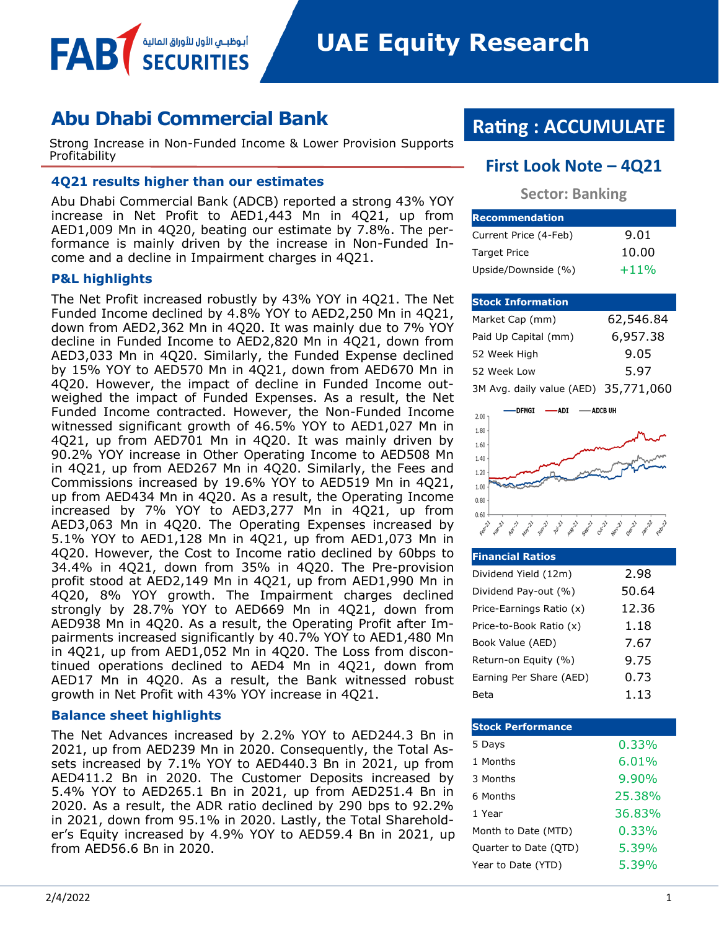**UAE Equity Research** 

# **Abu Dhabi Commercial Bank**

أبوظبــي الأول للأوراق المالية

Strong Increase in Non-Funded Income & Lower Provision Supports

### **4Q21 results higher than our estimates**

Abu Dhabi Commercial Bank (ADCB) reported a strong 43% YOY increase in Net Profit to AED1,443 Mn in 4Q21, up from AED1,009 Mn in 4Q20, beating our estimate by 7.8%. The performance is mainly driven by the increase in Non-Funded Income and a decline in Impairment charges in 4Q21.

#### **P&L highlights**

FAB

The Net Profit increased robustly by 43% YOY in 4Q21. The Net Funded Income declined by 4.8% YOY to AED2,250 Mn in 4Q21, down from AED2,362 Mn in 4Q20. It was mainly due to 7% YOY decline in Funded Income to AED2,820 Mn in 4Q21, down from AED3,033 Mn in 4Q20. Similarly, the Funded Expense declined by 15% YOY to AED570 Mn in 4Q21, down from AED670 Mn in 4Q20. However, the impact of decline in Funded Income outweighed the impact of Funded Expenses. As a result, the Net Funded Income contracted. However, the Non-Funded Income witnessed significant growth of 46.5% YOY to AED1,027 Mn in 4Q21, up from AED701 Mn in 4Q20. It was mainly driven by 90.2% YOY increase in Other Operating Income to AED508 Mn in 4Q21, up from AED267 Mn in 4Q20. Similarly, the Fees and Commissions increased by 19.6% YOY to AED519 Mn in 4Q21, up from AED434 Mn in 4Q20. As a result, the Operating Income increased by 7% YOY to AED3,277 Mn in 4Q21, up from AED3,063 Mn in 4Q20. The Operating Expenses increased by 5.1% YOY to AED1,128 Mn in 4Q21, up from AED1,073 Mn in 4Q20. However, the Cost to Income ratio declined by 60bps to 34.4% in 4Q21, down from 35% in 4Q20. The Pre-provision profit stood at AED2,149 Mn in 4Q21, up from AED1,990 Mn in 4Q20, 8% YOY growth. The Impairment charges declined strongly by 28.7% YOY to AED669 Mn in 4Q21, down from AED938 Mn in 4Q20. As a result, the Operating Profit after Impairments increased significantly by 40.7% YOY to AED1,480 Mn in 4Q21, up from AED1,052 Mn in 4Q20. The Loss from discontinued operations declined to AED4 Mn in 4Q21, down from AED17 Mn in 4Q20. As a result, the Bank witnessed robust growth in Net Profit with 43% YOY increase in 4Q21.

#### **Balance sheet highlights**

The Net Advances increased by 2.2% YOY to AED244.3 Bn in 2021, up from AED239 Mn in 2020. Consequently, the Total Assets increased by 7.1% YOY to AED440.3 Bn in 2021, up from AED411.2 Bn in 2020. The Customer Deposits increased by 5.4% YOY to AED265.1 Bn in 2021, up from AED251.4 Bn in 2020. As a result, the ADR ratio declined by 290 bps to 92.2% in 2021, down from 95.1% in 2020. Lastly, the Total Shareholder's Equity increased by 4.9% YOY to AED59.4 Bn in 2021, up from AED56.6 Bn in 2020.

# **Rating : ACCUMULATE**

# **First Look Note – 4Q21**

**Sector: Banking**

| <b>Recommendation</b> |        |
|-----------------------|--------|
| Current Price (4-Feb) | 9.01   |
| <b>Target Price</b>   | 10.00  |
| Upside/Downside (%)   | $+11%$ |

### **Stock Information**

| Market Cap (mm)                      | 62,546.84 |
|--------------------------------------|-----------|
| Paid Up Capital (mm)                 | 6,957.38  |
| 52 Week High                         | 9.05      |
| 52 Week Low                          | 5.97      |
| 3M Avg. daily value (AED) 35,771,060 |           |



| <b>Financial Ratios</b>  |       |
|--------------------------|-------|
| Dividend Yield (12m)     | 2.98  |
| Dividend Pay-out (%)     | 50.64 |
| Price-Earnings Ratio (x) | 12.36 |
| Price-to-Book Ratio (x)  | 1.18  |
| Book Value (AED)         | 7.67  |
| Return-on Equity (%)     | 9.75  |
| Earning Per Share (AED)  | 0.73  |
| Beta                     | 1.13  |

| <b>Stock Performance</b> |          |
|--------------------------|----------|
| 5 Days                   | $0.33\%$ |
| 1 Months                 | $6.01\%$ |
| 3 Months                 | $9.90\%$ |
| 6 Months                 | 25.38%   |
| 1 Year                   | 36.83%   |
| Month to Date (MTD)      | $0.33\%$ |
| Quarter to Date (QTD)    | 5.39%    |
| Year to Date (YTD)       | 5.39%    |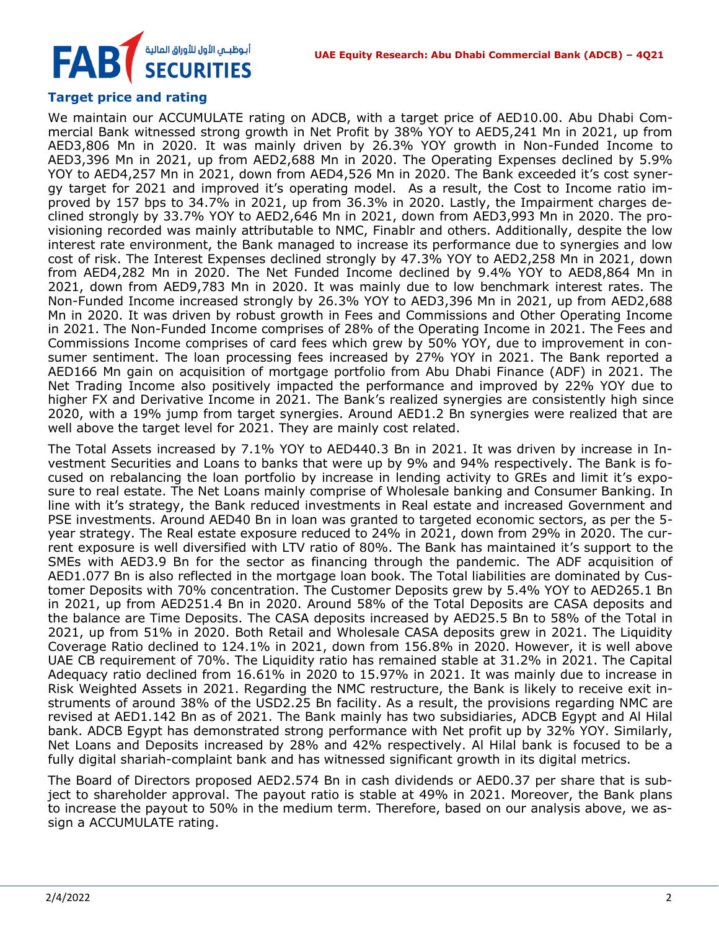# أبوظبـي الأول للأوراق المالية<br>SECURITIES **FAB**

## **Target price and rating**

We maintain our ACCUMULATE rating on ADCB, with a target price of AED10.00. Abu Dhabi Commercial Bank witnessed strong growth in Net Profit by 38% YOY to AED5,241 Mn in 2021, up from AED3,806 Mn in 2020. It was mainly driven by 26.3% YOY growth in Non-Funded Income to AED3,396 Mn in 2021, up from AED2,688 Mn in 2020. The Operating Expenses declined by 5.9% YOY to AED4,257 Mn in 2021, down from AED4,526 Mn in 2020. The Bank exceeded it's cost synergy target for 2021 and improved it's operating model. As a result, the Cost to Income ratio improved by 157 bps to 34.7% in 2021, up from 36.3% in 2020. Lastly, the Impairment charges declined strongly by 33.7% YOY to AED2,646 Mn in 2021, down from AED3,993 Mn in 2020. The provisioning recorded was mainly attributable to NMC, Finablr and others. Additionally, despite the low interest rate environment, the Bank managed to increase its performance due to synergies and low cost of risk. The Interest Expenses declined strongly by 47.3% YOY to AED2,258 Mn in 2021, down from AED4,282 Mn in 2020. The Net Funded Income declined by 9.4% YOY to AED8,864 Mn in 2021, down from AED9,783 Mn in 2020. It was mainly due to low benchmark interest rates. The Non-Funded Income increased strongly by 26.3% YOY to AED3,396 Mn in 2021, up from AED2,688 Mn in 2020. It was driven by robust growth in Fees and Commissions and Other Operating Income in 2021. The Non-Funded Income comprises of 28% of the Operating Income in 2021. The Fees and Commissions Income comprises of card fees which grew by 50% YOY, due to improvement in consumer sentiment. The loan processing fees increased by 27% YOY in 2021. The Bank reported a AED166 Mn gain on acquisition of mortgage portfolio from Abu Dhabi Finance (ADF) in 2021. The Net Trading Income also positively impacted the performance and improved by 22% YOY due to higher FX and Derivative Income in 2021. The Bank's realized synergies are consistently high since 2020, with a 19% jump from target synergies. Around AED1.2 Bn synergies were realized that are well above the target level for 2021. They are mainly cost related.

The Total Assets increased by 7.1% YOY to AED440.3 Bn in 2021. It was driven by increase in Investment Securities and Loans to banks that were up by 9% and 94% respectively. The Bank is focused on rebalancing the loan portfolio by increase in lending activity to GREs and limit it's exposure to real estate. The Net Loans mainly comprise of Wholesale banking and Consumer Banking. In line with it's strategy, the Bank reduced investments in Real estate and increased Government and PSE investments. Around AED40 Bn in loan was granted to targeted economic sectors, as per the 5 year strategy. The Real estate exposure reduced to 24% in 2021, down from 29% in 2020. The current exposure is well diversified with LTV ratio of 80%. The Bank has maintained it's support to the SMEs with AED3.9 Bn for the sector as financing through the pandemic. The ADF acquisition of AED1.077 Bn is also reflected in the mortgage loan book. The Total liabilities are dominated by Customer Deposits with 70% concentration. The Customer Deposits grew by 5.4% YOY to AED265.1 Bn in 2021, up from AED251.4 Bn in 2020. Around 58% of the Total Deposits are CASA deposits and the balance are Time Deposits. The CASA deposits increased by AED25.5 Bn to 58% of the Total in 2021, up from 51% in 2020. Both Retail and Wholesale CASA deposits grew in 2021. The Liquidity Coverage Ratio declined to 124.1% in 2021, down from 156.8% in 2020. However, it is well above UAE CB requirement of 70%. The Liquidity ratio has remained stable at 31.2% in 2021. The Capital Adequacy ratio declined from 16.61% in 2020 to 15.97% in 2021. It was mainly due to increase in Risk Weighted Assets in 2021. Regarding the NMC restructure, the Bank is likely to receive exit instruments of around 38% of the USD2.25 Bn facility. As a result, the provisions regarding NMC are revised at AED1.142 Bn as of 2021. The Bank mainly has two subsidiaries, ADCB Egypt and Al Hilal bank. ADCB Egypt has demonstrated strong performance with Net profit up by 32% YOY. Similarly, Net Loans and Deposits increased by 28% and 42% respectively. Al Hilal bank is focused to be a fully digital shariah-complaint bank and has witnessed significant growth in its digital metrics.

The Board of Directors proposed AED2.574 Bn in cash dividends or AED0.37 per share that is subject to shareholder approval. The payout ratio is stable at 49% in 2021. Moreover, the Bank plans to increase the payout to 50% in the medium term. Therefore, based on our analysis above, we assign a ACCUMULATE rating.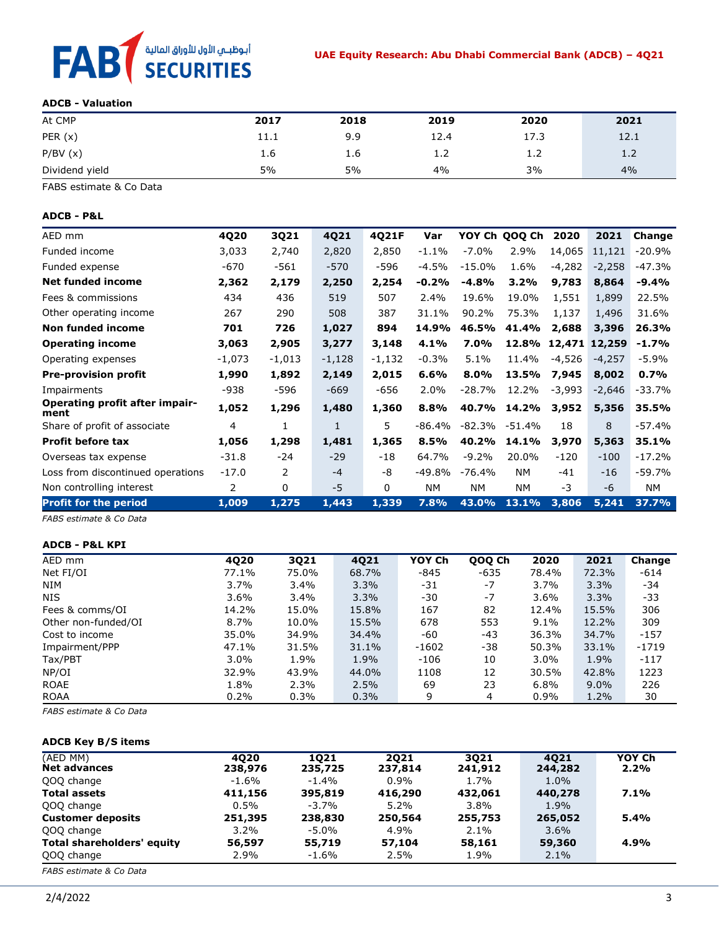

#### **ADCB - Valuation**

| At CMP         | 2017 | 2018 | 2019 | 2020 | 2021 |
|----------------|------|------|------|------|------|
| PER(x)         | 11.1 | 9.9  | 12.4 | 17.3 | 12.1 |
| P/BV(x)        | 1.6  | 1.6  | 1.2  | 1.2  | 1.2  |
| Dividend yield | 5%   | 5%   | 4%   | 3%   | 4%   |

FABS estimate & Co Data

#### **ADCB - P&L**

| AED mm                                        | 4Q20    | 3Q21         | 4Q21     | 4Q21F    | Var      | YOY Ch    | QOQ Ch | 2020     | 2021          | Change   |
|-----------------------------------------------|---------|--------------|----------|----------|----------|-----------|--------|----------|---------------|----------|
| Funded income                                 | 3,033   | 2,740        | 2,820    | 2,850    | $-1.1%$  | $-7.0\%$  | 2.9%   | 14,065   | 11,121        | $-20.9%$ |
| Funded expense                                | -670    | -561         | $-570$   | -596     | $-4.5%$  | $-15.0%$  | 1.6%   | $-4,282$ | $-2,258$      | $-47.3%$ |
| <b>Net funded income</b>                      | 2,362   | 2,179        | 2,250    | 2,254    | $-0.2%$  | $-4.8%$   | 3.2%   | 9,783    | 8,864         | -9.4%    |
| Fees & commissions                            | 434     | 436          | 519      | 507      | 2.4%     | 19.6%     | 19.0%  | 1,551    | 1,899         | 22.5%    |
| Other operating income                        | 267     | 290          | 508      | 387      | 31.1%    | 90.2%     | 75.3%  | 1,137    | 1,496         | 31.6%    |
| Non funded income                             | 701     | 726          | 1,027    | 894      | 14.9%    | 46.5%     | 41.4%  | 2,688    | 3,396         | 26.3%    |
| <b>Operating income</b>                       | 3,063   | 2,905        | 3,277    | 3,148    | 4.1%     | 7.0%      | 12.8%  |          | 12,471 12,259 | $-1.7%$  |
| Operating expenses                            | -1,073  | $-1,013$     | $-1,128$ | $-1,132$ | $-0.3%$  | 5.1%      | 11.4%  | -4,526   | -4,257        | -5.9%    |
| <b>Pre-provision profit</b>                   | 1,990   | 1,892        | 2,149    | 2,015    | 6.6%     | 8.0%      | 13.5%  | 7,945    | 8,002         | 0.7%     |
| Impairments                                   | -938    | -596         | $-669$   | -656     | 2.0%     | $-28.7%$  | 12.2%  | $-3,993$ | $-2,646$      | -33.7%   |
| <b>Operating profit after impair-</b><br>ment | 1,052   | 1,296        | 1,480    | 1,360    | 8.8%     | 40.7%     | 14.2%  | 3,952    | 5,356         | 35.5%    |
| Share of profit of associate                  | 4       | 1            | 1        | 5.       | -86.4%   | -82.3%    | -51.4% | 18       | 8             | -57.4%   |
| <b>Profit before tax</b>                      | 1,056   | 1,298        | 1,481    | 1,365    | 8.5%     | 40.2%     | 14.1%  | 3,970    | 5,363         | 35.1%    |
| Overseas tax expense                          | $-31.8$ | $-24$        | $-29$    | $-18$    | 64.7%    | $-9.2%$   | 20.0%  | $-120$   | $-100$        | $-17.2%$ |
| Loss from discontinued operations             | $-17.0$ | 2            | $-4$     | -8       | $-49.8%$ | -76.4%    | NM.    | $-41$    | $-16$         | $-59.7%$ |
| Non controlling interest                      | 2       | $\mathbf{0}$ | $-5$     | $\Omega$ | NM.      | <b>NM</b> | NM.    | -3       | $-6$          | NM.      |
| <b>Profit for the period</b>                  | 1,009   | 1,275        | 1,443    | 1,339    | 7.8%     | 43.0%     | 13.1%  | 3,806    | 5,241         | 37.7%    |

*FABS estimate & Co Data*

#### **ADCB - P&L KPI**

| AED mm              | 4Q20    | 3Q21  | 4Q21  | YOY Ch  | QOQ Ch | 2020    | 2021    | Change  |
|---------------------|---------|-------|-------|---------|--------|---------|---------|---------|
| Net FI/OI           | 77.1%   | 75.0% | 68.7% | $-845$  | $-635$ | 78.4%   | 72.3%   | $-614$  |
| <b>NIM</b>          | 3.7%    | 3.4%  | 3.3%  | -31     | $-7$   | 3.7%    | 3.3%    | -34     |
| <b>NIS</b>          | $3.6\%$ | 3.4%  | 3.3%  | -30     | $-7$   | 3.6%    | 3.3%    | -33     |
| Fees & comms/OI     | 14.2%   | 15.0% | 15.8% | 167     | 82     | 12.4%   | 15.5%   | 306     |
| Other non-funded/OI | 8.7%    | 10.0% | 15.5% | 678     | 553    | $9.1\%$ | 12.2%   | 309     |
| Cost to income      | 35.0%   | 34.9% | 34.4% | -60     | $-43$  | 36.3%   | 34.7%   | $-157$  |
| Impairment/PPP      | 47.1%   | 31.5% | 31.1% | $-1602$ | -38    | 50.3%   | 33.1%   | $-1719$ |
| Tax/PBT             | $3.0\%$ | 1.9%  | 1.9%  | $-106$  | 10     | 3.0%    | 1.9%    | $-117$  |
| NP/OI               | 32.9%   | 43.9% | 44.0% | 1108    | 12     | 30.5%   | 42.8%   | 1223    |
| <b>ROAE</b>         | 1.8%    | 2.3%  | 2.5%  | 69      | 23     | 6.8%    | $9.0\%$ | 226     |
| <b>ROAA</b>         | 0.2%    | 0.3%  | 0.3%  | 9       | 4      | 0.9%    | 1.2%    | 30      |

*FABS estimate & Co Data*

#### **ADCB Key B/S items**

| (AED MM)<br><b>Net advances</b> | 4020<br>238,976 | 1021<br>235,725 | 2021<br>237,814 | 3021<br>241,912 | 4021<br>244,282 | YOY Ch<br>2.2% |
|---------------------------------|-----------------|-----------------|-----------------|-----------------|-----------------|----------------|
| QOQ change                      | $-1.6\%$        | $-1.4\%$        | $0.9\%$         | $1.7\%$         | $1.0\%$         |                |
| <b>Total assets</b>             | 411,156         | 395,819         | 416,290         | 432,061         | 440,278         | 7.1%           |
| QOQ change                      | $0.5\%$         | $-3.7\%$        | $5.2\%$         | $3.8\%$         | 1.9%            |                |
| <b>Customer deposits</b>        | 251,395         | 238,830         | 250,564         | 255,753         | 265,052         | 5.4%           |
| QOQ change                      | $3.2\%$         | -5.0%           | 4.9%            | $2.1\%$         | $3.6\%$         |                |
| Total shareholders' equity      | 56,597          | 55,719          | 57,104          | 58,161          | 59,360          | 4.9%           |
| QOQ change                      | 2.9%            | -1.6%           | 2.5%            | 1.9%            | $2.1\%$         |                |
| FABS estimate & Co Data         |                 |                 |                 |                 |                 |                |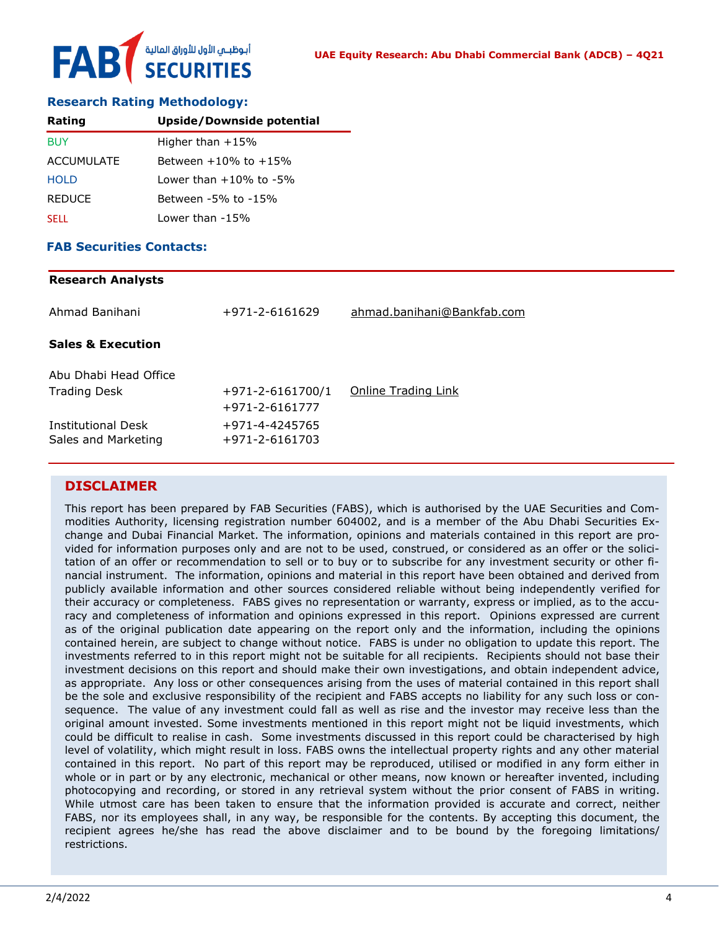#### **Research Rating Methodology:**

| Rating            | Upside/Downside potential    |
|-------------------|------------------------------|
| <b>BUY</b>        | Higher than $+15%$           |
| <b>ACCUMULATE</b> | Between $+10\%$ to $+15\%$   |
| <b>HOLD</b>       | Lower than $+10\%$ to $-5\%$ |
| <b>REDUCE</b>     | Between -5% to -15%          |
| <b>SELL</b>       | Lower than -15%              |

#### **FAB Securities Contacts:**

| <b>Research Analysts</b>     |                        |                            |
|------------------------------|------------------------|----------------------------|
| Ahmad Banihani               | +971-2-6161629         | ahmad.banihani@Bankfab.com |
| <b>Sales &amp; Execution</b> |                        |                            |
| Abu Dhabi Head Office        |                        |                            |
| <b>Trading Desk</b>          | $+971 - 2 - 6161700/1$ | Online Trading Link        |
|                              | +971-2-6161777         |                            |
| <b>Institutional Desk</b>    | +971-4-4245765         |                            |
| Sales and Marketing          | +971-2-6161703         |                            |

#### **DISCLAIMER**

This report has been prepared by FAB Securities (FABS), which is authorised by the UAE Securities and Commodities Authority, licensing registration number 604002, and is a member of the Abu Dhabi Securities Exchange and Dubai Financial Market. The information, opinions and materials contained in this report are provided for information purposes only and are not to be used, construed, or considered as an offer or the solicitation of an offer or recommendation to sell or to buy or to subscribe for any investment security or other financial instrument. The information, opinions and material in this report have been obtained and derived from publicly available information and other sources considered reliable without being independently verified for their accuracy or completeness. FABS gives no representation or warranty, express or implied, as to the accuracy and completeness of information and opinions expressed in this report. Opinions expressed are current as of the original publication date appearing on the report only and the information, including the opinions contained herein, are subject to change without notice. FABS is under no obligation to update this report. The investments referred to in this report might not be suitable for all recipients. Recipients should not base their investment decisions on this report and should make their own investigations, and obtain independent advice, as appropriate. Any loss or other consequences arising from the uses of material contained in this report shall be the sole and exclusive responsibility of the recipient and FABS accepts no liability for any such loss or consequence. The value of any investment could fall as well as rise and the investor may receive less than the original amount invested. Some investments mentioned in this report might not be liquid investments, which could be difficult to realise in cash. Some investments discussed in this report could be characterised by high level of volatility, which might result in loss. FABS owns the intellectual property rights and any other material contained in this report. No part of this report may be reproduced, utilised or modified in any form either in whole or in part or by any electronic, mechanical or other means, now known or hereafter invented, including photocopying and recording, or stored in any retrieval system without the prior consent of FABS in writing. While utmost care has been taken to ensure that the information provided is accurate and correct, neither FABS, nor its employees shall, in any way, be responsible for the contents. By accepting this document, the recipient agrees he/she has read the above disclaimer and to be bound by the foregoing limitations/ restrictions.